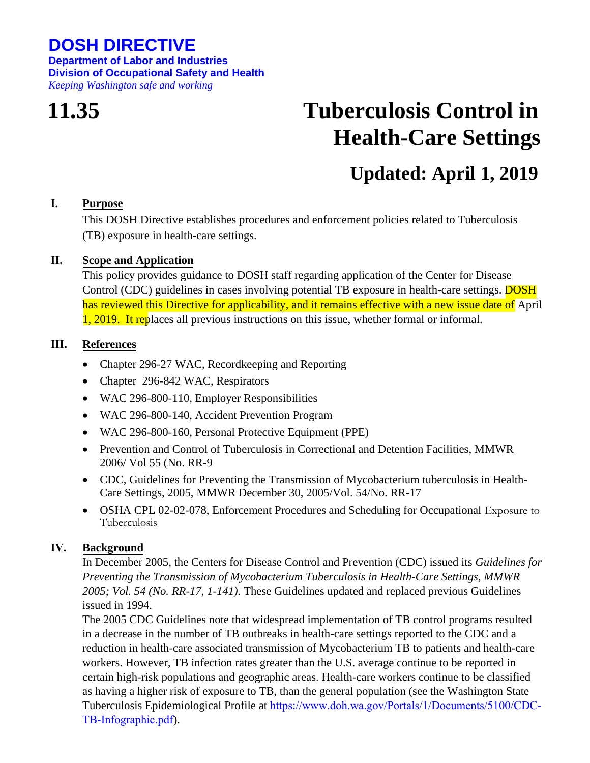## **DOSH DIRECTIVE**

**Department of Labor and Industries Division of Occupational Safety and Health** *Keeping Washington safe and working*

# **11.35 Tuberculosis Control in Health-Care Settings**

# **Updated: April 1, 2019**

#### **I. Purpose**

This DOSH Directive establishes procedures and enforcement policies related to Tuberculosis (TB) exposure in health-care settings.

#### **II. Scope and Application**

This policy provides guidance to DOSH staff regarding application of the Center for Disease Control (CDC) guidelines in cases involving potential TB exposure in health-care settings. **DOSH** has reviewed this Directive for applicability, and it remains effective with a new issue date of April 1, 2019. It replaces all previous instructions on this issue, whether formal or informal.

#### **III. References**

- [Chapter 296-27 WAC, Recordkeeping and Reporting](https://lni.wa.gov/safety-health/safety-rules/chapter-pdfs/WAC296-27.pdf)
- [Chapter 296-842 WAC, Respirators](https://lni.wa.gov/safety-health/safety-rules/chapter-pdfs/WAC296-842.pdf)
- [WAC 296-800-110, Employer Responsibilities](https://lni.wa.gov/safety-health/safety-rules/chapter-pdfs/WAC296-800.pdf#WAC_296_800_110)
- [WAC 296-800-140, Accident Prevention Program](https://lni.wa.gov/safety-health/safety-rules/chapter-pdfs/WAC296-800.pdf#WAC_296_800_140)
- [WAC 296-800-160, Personal Protective Equipment \(PPE\)](https://lni.wa.gov/safety-health/safety-rules/chapter-pdfs/WAC296-800.pdf#WAC_296_800_160)
- [Prevention and Control of Tuberculosis in Correctional and Detention Facilities, MMWR](http://www.cdc.gov/mmwr/PDF/rr/rr5509.pdf) [2006/ Vol 55 \(No. RR-9](http://www.cdc.gov/mmwr/PDF/rr/rr5509.pdf)
- [CDC, Guidelines for Preventing the Transmission of Mycobacterium tuberculosis in Health-](http://www.cdc.gov/mmwr/PDF/rr/rr5417.pdf)[Care Settings, 2005, MMWR December 30, 2005/Vol. 54/No. RR-17](http://www.cdc.gov/mmwr/PDF/rr/rr5417.pdf)
- [OSHA CPL 02-02-078, Enforcement Procedures and Scheduling for Occupational](https://www.osha.gov/pls/oshaweb/owadisp.show_document?p_table=DIRECTIVES&p_id=6108) Exposure to [Tuberculosis](https://www.osha.gov/pls/oshaweb/owadisp.show_document?p_table=DIRECTIVES&p_id=6108)

### **IV. Background**

In December 2005, the Centers for Disease Control and Prevention (CDC) issued its *Guidelines for Preventing the Transmission of Mycobacterium Tuberculosis in Health-Care Settings, MMWR 2005; Vol. 54 (No. RR-17, 1-141).* These Guidelines updated and replaced previous Guidelines issued in 1994.

The 2005 CDC Guidelines note that widespread implementation of TB control programs resulted in a decrease in the number of TB outbreaks in health-care settings reported to the CDC and a reduction in health-care associated transmission of Mycobacterium TB to patients and health-care workers. However, TB infection rates greater than the U.S. average continue to be reported in certain high-risk populations and geographic areas. Health-care workers continue to be classified as having a higher risk of exposure to TB, than the general population (see the Washington State Tuberculosis Epidemiological Profile at [https://www.doh.wa.gov/Portals/1/Documents/5100/CDC-](https://www.doh.wa.gov/Portals/1/Documents/5100/CDC-TB-Infographic.pdf)TB-Infographic.pdf).